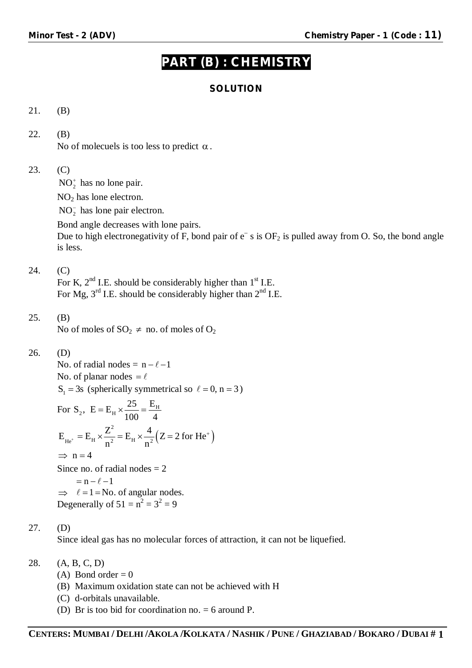# **PART (B) : CHEMISTRY**

# **SOLUTION**

# 21. (B)

## 22. (B)

No of molecuels is too less to predict  $\alpha$ .

## 23. (C)

 $NO_2^{\dagger}$  has no lone pair.

NO<sup>2</sup> has lone electron.

 $NO<sub>2</sub><sup>-</sup>$  has lone pair electron.

Bond angle decreases with lone pairs.

Due to high electronegativity of F, bond pair of  $e^-$  s is  $OF_2$  is pulled away from O. So, the bond angle is less.

## 24. (C)

For K,  $2<sup>nd</sup>$  I.E. should be considerably higher than  $1<sup>st</sup>$  I.E. For Mg,  $3<sup>rd</sup>$  I.E. should be considerably higher than  $2<sup>nd</sup>$  I.E.

#### 25. (B)

No of moles of  $SO_2 \neq$  no. of moles of  $O_2$ 

#### 26. (D)

No. of radial nodes =  $n - \ell - 1$ No. of planar nodes  $= \ell$  $S_1 = 3s$  (spherically symmetrical so  $\ell = 0$ , n = 3)

For S<sub>2</sub>, E = E<sub>H</sub> × 
$$
\frac{25}{100} = \frac{E_H}{4}
$$
  
\nE<sub>He<sup>+</sup></sub> = E<sub>H</sub> ×  $\frac{Z^2}{n^2}$  = E<sub>H</sub> ×  $\frac{4}{n^2}$  (Z = 2 for He<sup>+</sup>)  
\n $\Rightarrow$  n = 4  
\nSince no. of radial nodes = 2

 $= n - \ell - 1$  $\Rightarrow$   $\ell = 1 =$ No. of angular nodes. Degenerally of  $51 = n^2 = 3^2 = 9$ 

#### 27. (D)

Since ideal gas has no molecular forces of attraction, it can not be liquefied.

#### 28. (A, B, C, D)

- (A) Bond order =  $0$
- (B) Maximum oxidation state can not be achieved with H
- (C) d-orbitals unavailable.
- (D) Br is too bid for coordination no. = 6 around P.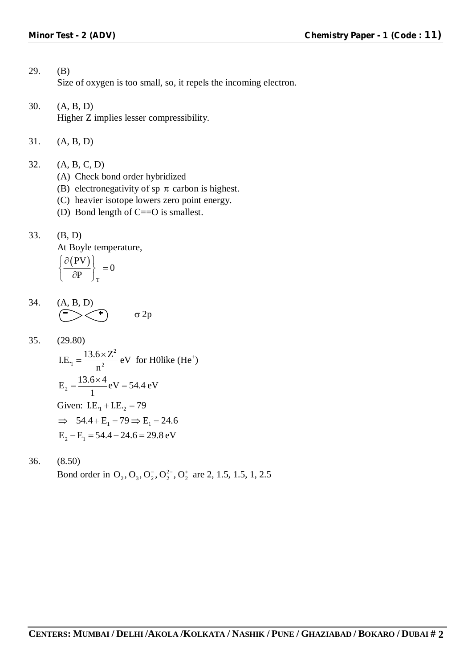## 29. (B) Size of oxygen is too small, so, it repels the incoming electron.

- 30. (A, B, D) Higher Z implies lesser compressibility.
- 31. (A, B, D)
- 32. (A, B, C, D)
	- (A) Check bond order hybridized
	- (B) electronegativity of sp  $\pi$  carbon is highest.
	- (C) heavier isotope lowers zero point energy.
	- (D) Bond length of C==O is smallest.
- 33. (B, D)

At Boyle temperature,

$$
\left\{\frac{\partial (PV)}{\partial P}\right\}_T = 0
$$

34. 
$$
(A, B, D)
$$
  
 $\underbrace{\longleftrightarrow}$   $\sigma 2p$ 

35. (29.80)  
\nLE<sub>1</sub> = 
$$
\frac{13.6 \times Z^2}{n^2}
$$
 eV for Holike (He<sup>+</sup>)  
\nE<sub>2</sub> =  $\frac{13.6 \times 4}{1}$  eV = 54.4 eV  
\nGiven: LE<sub>1</sub> + LE<sub>2</sub> = 79  
\n $\Rightarrow$  54.4 + E<sub>1</sub> = 79  $\Rightarrow$  E<sub>1</sub> = 24.6  
\nE<sub>2</sub> - E<sub>1</sub> = 54.4 - 24.6 = 29.8 eV

36. (8.50) Bond order in  $O_2$ ,  $O_3$ ,  $O_2^7$ ,  $O_2^{2}$ ,  $O_2^+$  are 2, 1.5, 1.5, 1, 2.5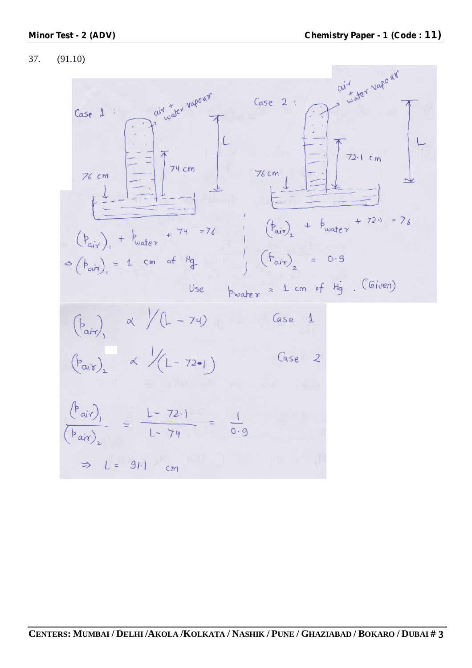## 37. (91.10)

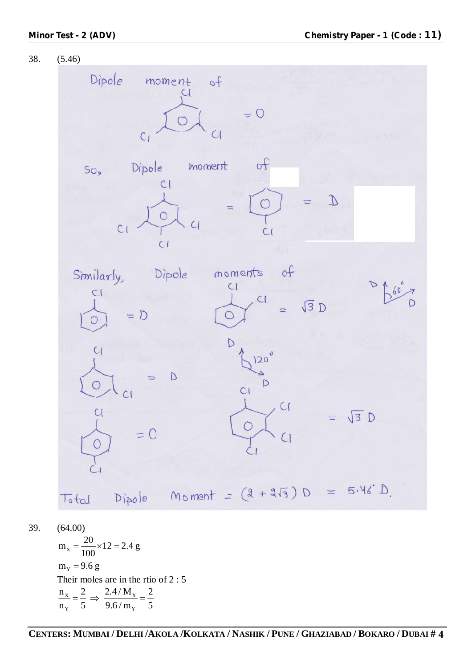

39. (64.00)

 $m_x = \frac{20}{100} \times 12 = 2.4$  g 100  $=\frac{20}{100} \times 12 = 2$  $m_v = 9.6 g$ Their moles are in the rtio of 2 : 5  $X = \frac{2}{\pi} \rightarrow \frac{2.77 \text{ m}}{N}$  $_{Y}$   $\frac{1}{2}$   $\frac{1}{2}$   $\frac{1}{2}$   $\frac{1}{2}$   $\frac{1}{2}$   $\frac{1}{2}$   $\frac{1}{2}$   $\frac{1}{2}$   $\frac{1}{2}$   $\frac{1}{2}$   $\frac{1}{2}$   $\frac{1}{2}$   $\frac{1}{2}$   $\frac{1}{2}$   $\frac{1}{2}$   $\frac{1}{2}$   $\frac{1}{2}$   $\frac{1}{2}$   $\frac{1}{2}$   $\frac{1}{2}$   $\frac{1}{2}$   $\frac{1$  $n_x$  2.4/ $M_x$  2  $n_v$  5 9.6/m<sub>y</sub> 5  $=\frac{2}{7} \Rightarrow \frac{2.111 \text{ mJy}}{2.54} = \frac{2}{7}$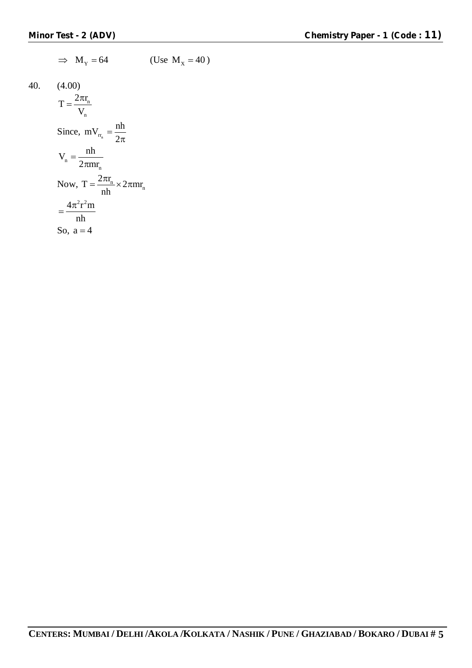$$
\Rightarrow M_{Y} = 64 \qquad \text{(Use } M_{X} = 40 \text{)}
$$
\n40. (4.00)\n
$$
T = \frac{2\pi r_{n}}{V_{n}}
$$
\nSince,  $mV_{r_{n}} = \frac{nh}{2\pi}$ \n
$$
V_{n} = \frac{nh}{2\pi mr_{n}}
$$
\nNow,  $T = \frac{2\pi r_{n}}{nh} \times 2\pi mr_{n}$ \n
$$
= \frac{4\pi^{2} r^{2} m}{nh}
$$
\nSo,  $a = 4$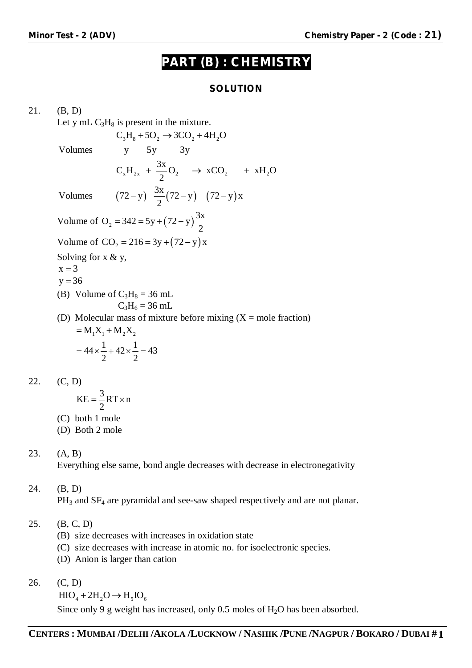# **PART (B) : CHEMISTRY**

## **SOLUTION**

21. (B, D) Let y mL  $C_3H_8$  is present in the mixture.  $C_3H_8 + 5O_2 \rightarrow 3CO_2 + 4H_2O$ Volumes y 5y 3y Volumes  $(72 - y) \frac{3x}{2}(72 - y) (72 - y)x$  $C_x H_{2x} + \frac{3x}{2} O_2 \rightarrow xCO_2 + xH_2O$ 2 2  $+\frac{3\pi}{2}O_2 \rightarrow xCO_2 +$  $(-y) \frac{3\pi}{2}(72-y)$   $(72-y)$ Volume of O<sub>2</sub> = 342 = 5y +  $(72 - y) \frac{3x}{2}$ 2  $=342=5y+(72-y)$ Volume of  $CO_2 = 216 = 3y + (72 - y)x$ Solving for  $x \& y$ ,  $x = 3$  $y = 36$ (B) Volume of  $C_3H_8 = 36$  mL  $C_3H_6 = 36$  mL (D) Molecular mass of mixture before mixing  $(X = \text{mole fraction})$  $= M_1 X_1 + M_2 X_2$  $44 \times \frac{1}{2} + 42 \times \frac{1}{2} = 43$ 2 2  $=44 \times \frac{1}{2} + 42 \times \frac{1}{2} = 4$ 22. (C, D)

$$
KE = \frac{3}{2}RT \times n
$$

- (C) both 1 mole
- (D) Both 2 mole

## 23. (A, B)

Everything else same, bond angle decreases with decrease in electronegativity

# 24. (B, D)

 $PH_3$  and  $SF_4$  are pyramidal and see-saw shaped respectively and are not planar.

- 25. (B, C, D)
	- (B) size decreases with increases in oxidation state
	- (C) size decreases with increase in atomic no. for isoelectronic species.
	- (D) Anion is larger than cation
- 26. (C, D)

 $HIO_{4} + 2H_{2}O \rightarrow H_{5}IO_{6}$ 

Since only 9 g weight has increased, only 0.5 moles of  $H_2O$  has been absorbed.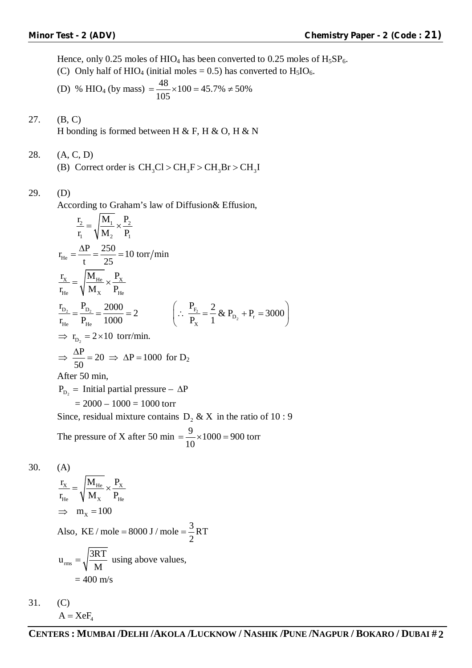Hence, only 0.25 moles of HIO<sub>4</sub> has been converted to 0.25 moles of  $H_5SP_6$ .

(C) Only half of HIO<sub>4</sub> (initial moles = 0.5) has converted to  $H<sub>5</sub>IO<sub>6</sub>$ .

(D) % HIO<sub>4</sub> (by mass) = 
$$
\frac{48}{105} \times 100 = 45.7\% \neq 50\%
$$

- 27. (B, C) H bonding is formed between H & F, H & O, H & N
- 28. (A, C, D)
	- (B) Correct order is  $CH_3Cl > CH_3F > CH_3Br > CH_3I$

# 29. (D)

According to Graham's law of Diffusion& Effusion,

$$
\frac{r_2}{r_1} = \sqrt{\frac{M_1}{M_2} \times \frac{P_2}{P_1}}
$$
  
\n
$$
r_{He} = \frac{\Delta P}{t} = \frac{250}{25} = 10 \text{ torr/min}
$$
  
\n
$$
\frac{r_x}{r_{He}} = \sqrt{\frac{M_{He}}{M_x} \times \frac{P_x}{P_{He}}}
$$
  
\n
$$
\frac{r_{D_2}}{r_{He}} = \frac{P_{D_2}}{P_{He}} = \frac{2000}{1000} = 2 \qquad \left(\because \frac{P_{F_2}}{P_x} = \frac{2}{1} \& P_{D_2} + P_r = 3000\right)
$$
  
\n
$$
\Rightarrow r_{D_2} = 2 \times 10 \text{ torr/min.}
$$
  
\n
$$
\Rightarrow \frac{\Delta P}{50} = 20 \Rightarrow \Delta P = 1000 \text{ for } D_2
$$
  
\nAfter 50 min,  
\n
$$
P_{D_2} = \text{Initial partial pressure} - \Delta P
$$
  
\n
$$
= 2000 - 1000 = 1000 \text{ torr}
$$
  
\nSince, residual mixture contains  $D_2 \& X$  in the ratio of 10 : 9  
\nThe pressure of X after 50 min =  $\frac{9}{10} \times 1000 = 900 \text{ torr}$ 

$$
30. (A)
$$

$$
\frac{r_{X}}{r_{He}} = \sqrt{\frac{M_{He}}{M_{X}}} \times \frac{P_{X}}{P_{He}}
$$
  
\n
$$
\Rightarrow m_{X} = 100
$$
  
\nAlso, KE/mole = 8000 J/mole =  $\frac{3}{2}$  RT  
\n
$$
u_{rms} = \sqrt{\frac{3RT}{M}}
$$
 using above values,  
\n= 400 m/s

31. (C)  $A = XeF_4$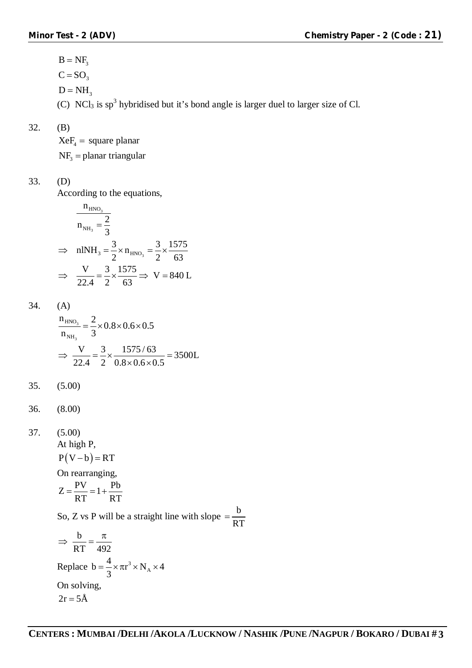$B = NF_3$  $C = SO<sub>3</sub>$  $D = NH_3$ (C) NCl<sub>3</sub> is  $sp^3$  hybridised but it's bond angle is larger duel to larger size of Cl.

32. (B)

 $XeF_4$  = square planar  $NF<sub>3</sub>$  = planar triangular

33. (D)

According to the equations,

$$
\frac{n_{HNO_3}}{n_{NH_3} = \frac{2}{3}}
$$
  
\n
$$
\Rightarrow \quad \text{nINH}_3 = \frac{3}{2} \times n_{HNO_3} = \frac{3}{2} \times \frac{1575}{63}
$$
  
\n
$$
\Rightarrow \quad \frac{V}{22.4} = \frac{3}{2} \times \frac{1575}{63} \Rightarrow V = 840 \text{ L}
$$

$$
34. (A)
$$

$$
\frac{n_{HNO_3}}{n_{NH_3}} = \frac{2}{3} \times 0.8 \times 0.6 \times 0.5
$$
  

$$
\Rightarrow \frac{V}{22.4} = \frac{3}{2} \times \frac{1575/63}{0.8 \times 0.6 \times 0.5} = 3500L
$$

35. (5.00)

36. (8.00)

37. 
$$
(5.00)
$$
  
At high P,  
 $P(V - b) = RT$ 

On rearranging,

$$
Z = \frac{PV}{RT} = 1 + \frac{Pb}{RT}
$$

So, Z vs P will be a straight line with slope  $=\frac{b}{\sqrt{2}}$ RT  $=$ 

$$
\Rightarrow \frac{b}{RT} = \frac{\pi}{492}
$$
  
Replace  $b = \frac{4}{3} \times \pi r^3 \times N_A \times 4$   
On solving,  
 $2r = 5\text{\AA}$